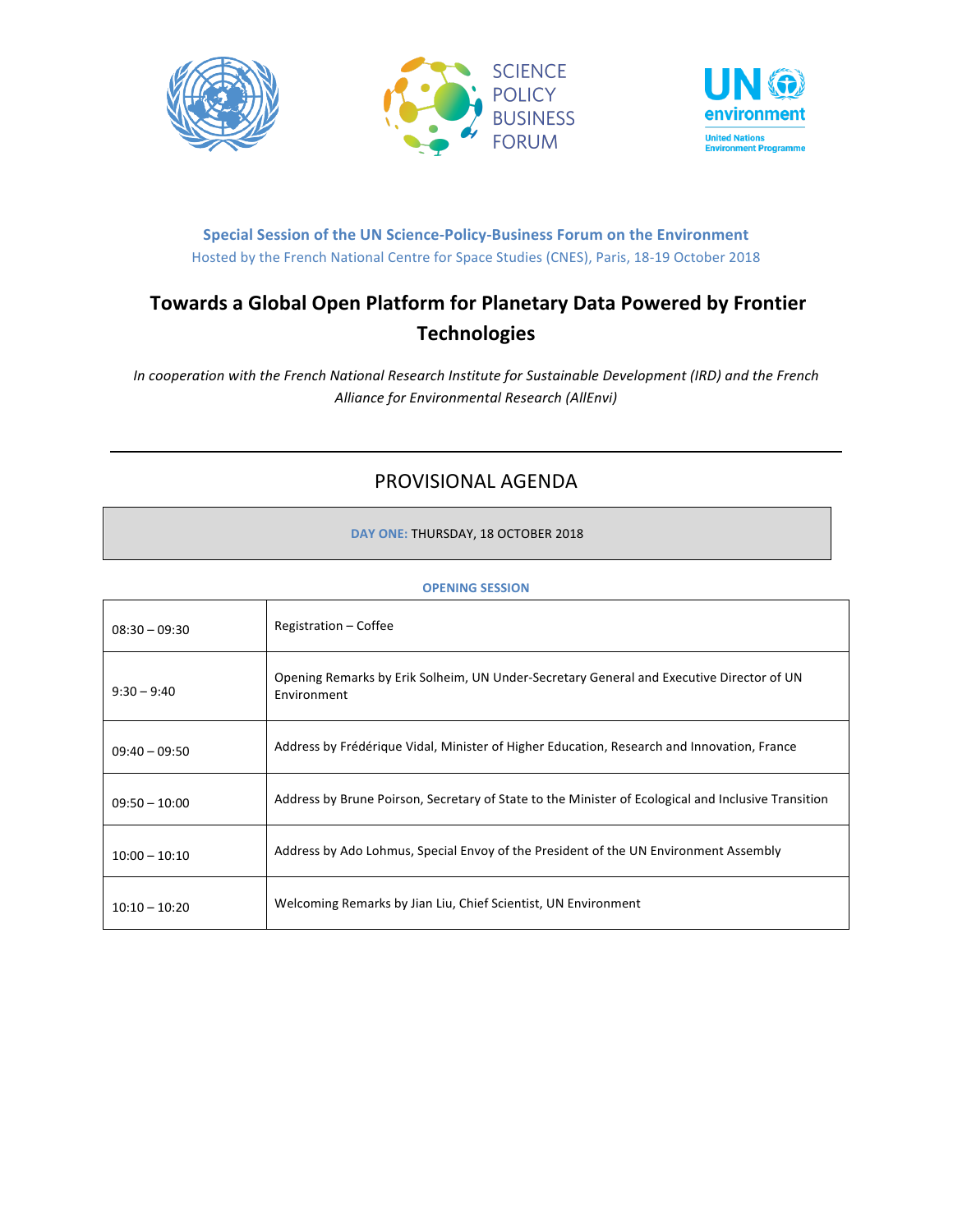



# **Special Session of the UN Science-Policy-Business Forum on the Environment** Hosted by the French National Centre for Space Studies (CNES), Paris, 18-19 October 2018

# **Towards a Global Open Platform for Planetary Data Powered by Frontier Technologies**

*In cooperation with the French National Research Institute for Sustainable Development (IRD) and the French Alliance for Environmental Research (AllEnvi)*

# PROVISIONAL AGENDA

**DAY ONE: THURSDAY, 18 OCTOBER 2018** 

| $08:30 - 09:30$ | Registration – Coffee                                                                                   |
|-----------------|---------------------------------------------------------------------------------------------------------|
| $9:30 - 9:40$   | Opening Remarks by Erik Solheim, UN Under-Secretary General and Executive Director of UN<br>Environment |
| $09:40 - 09:50$ | Address by Frédérique Vidal, Minister of Higher Education, Research and Innovation, France              |
| $09:50 - 10:00$ | Address by Brune Poirson, Secretary of State to the Minister of Ecological and Inclusive Transition     |
| $10:00 - 10:10$ | Address by Ado Lohmus, Special Envoy of the President of the UN Environment Assembly                    |
| $10:10 - 10:20$ | Welcoming Remarks by Jian Liu, Chief Scientist, UN Environment                                          |

## **OPENING SESSION**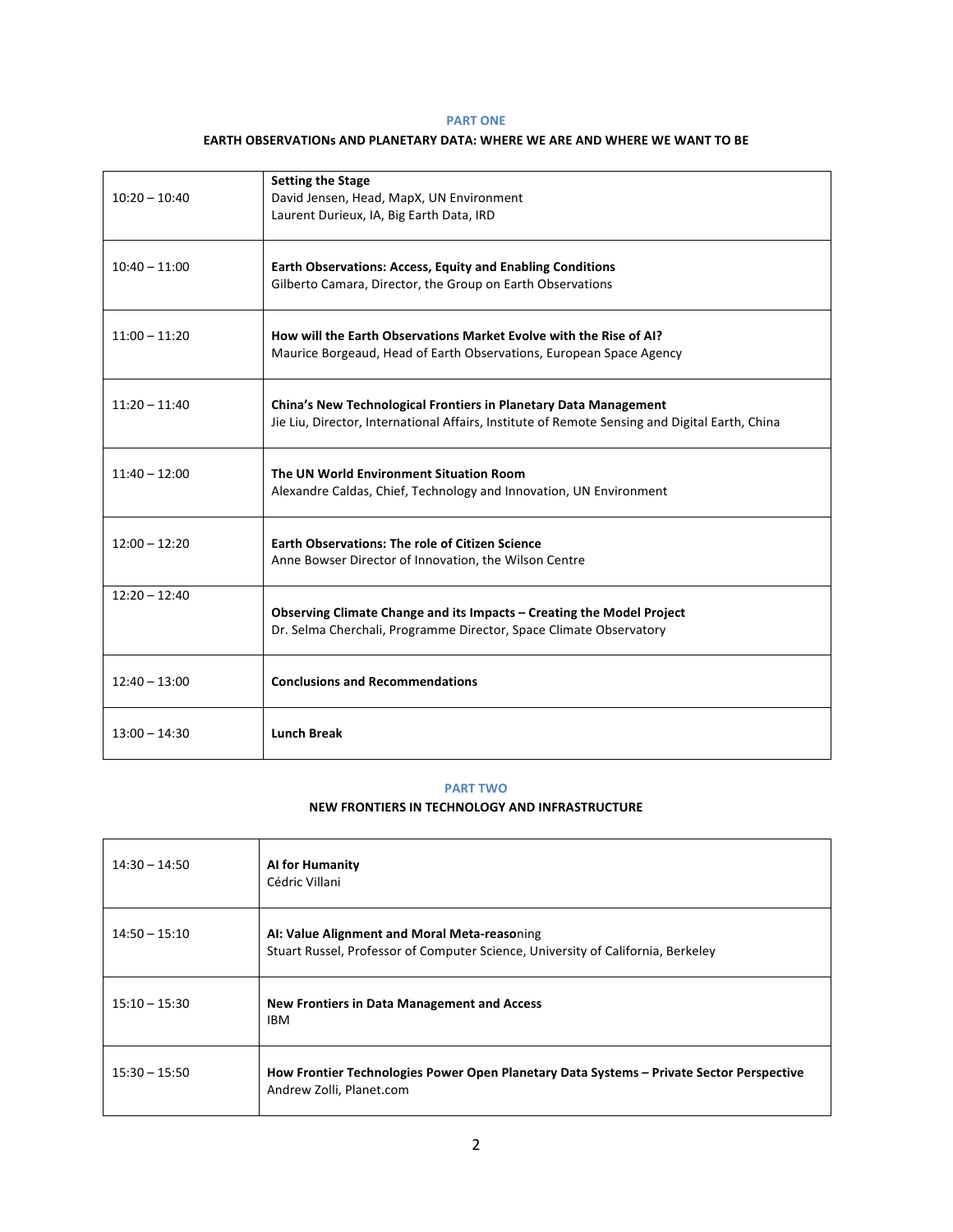## **PART ONE**

#### **EARTH OBSERVATIONs AND PLANETARY DATA: WHERE WE ARE AND WHERE WE WANT TO BE**

| $10:20 - 10:40$ | <b>Setting the Stage</b><br>David Jensen, Head, MapX, UN Environment<br>Laurent Durieux, IA, Big Earth Data, IRD                                                   |
|-----------------|--------------------------------------------------------------------------------------------------------------------------------------------------------------------|
| $10:40 - 11:00$ | <b>Earth Observations: Access, Equity and Enabling Conditions</b><br>Gilberto Camara, Director, the Group on Earth Observations                                    |
| $11:00 - 11:20$ | How will the Earth Observations Market Evolve with the Rise of AI?<br>Maurice Borgeaud, Head of Earth Observations, European Space Agency                          |
| $11:20 - 11:40$ | China's New Technological Frontiers in Planetary Data Management<br>Jie Liu, Director, International Affairs, Institute of Remote Sensing and Digital Earth, China |
| $11:40 - 12:00$ | The UN World Environment Situation Room<br>Alexandre Caldas, Chief, Technology and Innovation, UN Environment                                                      |
| $12:00 - 12:20$ | <b>Earth Observations: The role of Citizen Science</b><br>Anne Bowser Director of Innovation, the Wilson Centre                                                    |
| $12:20 - 12:40$ | Observing Climate Change and its Impacts - Creating the Model Project<br>Dr. Selma Cherchali, Programme Director, Space Climate Observatory                        |
| $12:40 - 13:00$ | <b>Conclusions and Recommendations</b>                                                                                                                             |
| $13:00 - 14:30$ | <b>Lunch Break</b>                                                                                                                                                 |

# **PART TWO**

## **NEW FRONTIERS IN TECHNOLOGY AND INFRASTRUCTURE**

| $14:30 - 14:50$ | <b>Al for Humanity</b><br>Cédric Villani                                                                                         |
|-----------------|----------------------------------------------------------------------------------------------------------------------------------|
| $14:50 - 15:10$ | AI: Value Alignment and Moral Meta-reasoning<br>Stuart Russel, Professor of Computer Science, University of California, Berkeley |
| $15:10 - 15:30$ | <b>New Frontiers in Data Management and Access</b><br><b>IBM</b>                                                                 |
| $15:30 - 15:50$ | How Frontier Technologies Power Open Planetary Data Systems - Private Sector Perspective<br>Andrew Zolli, Planet.com             |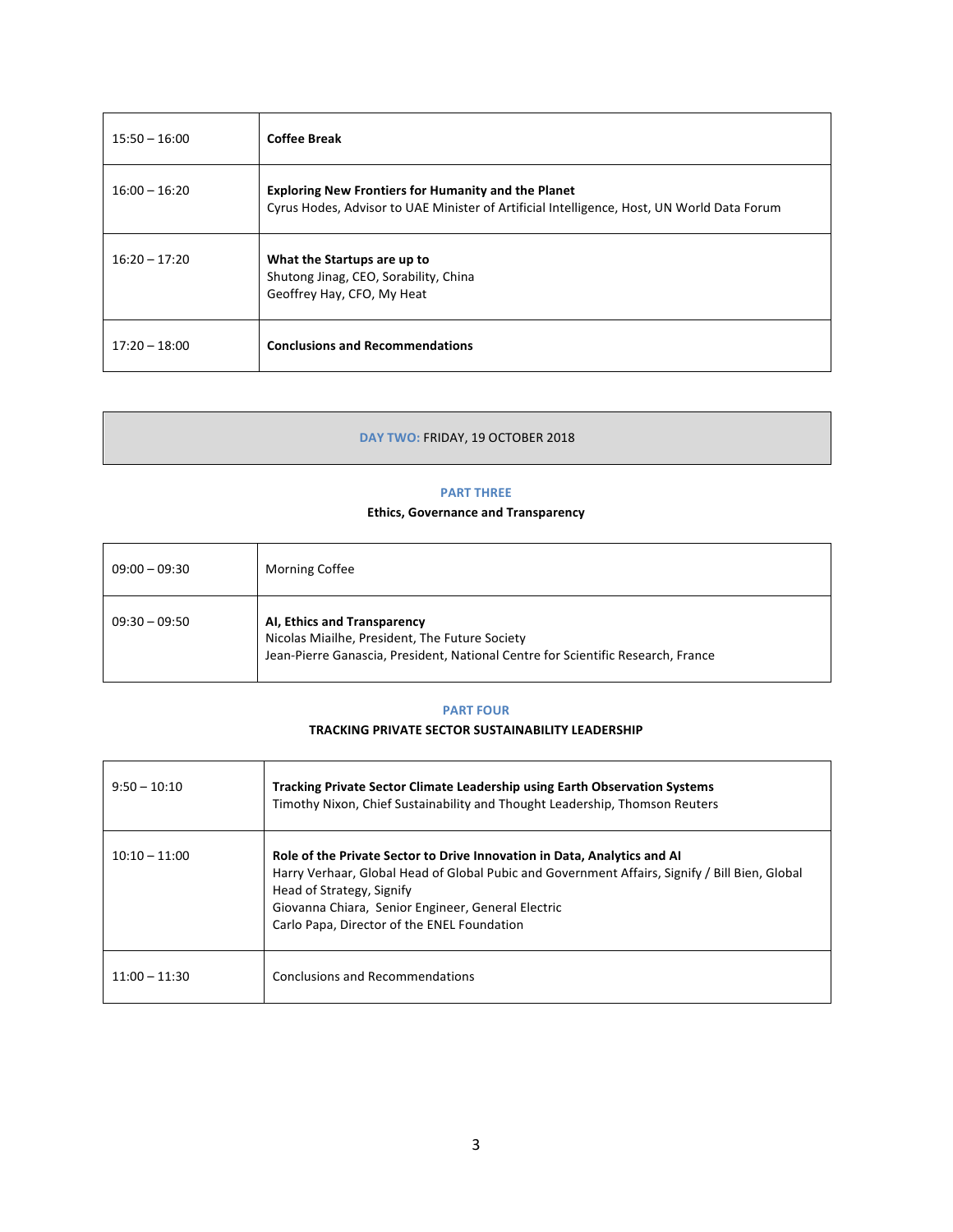| $15:50 - 16:00$ | <b>Coffee Break</b>                                                                                                                                      |
|-----------------|----------------------------------------------------------------------------------------------------------------------------------------------------------|
| $16:00 - 16:20$ | <b>Exploring New Frontiers for Humanity and the Planet</b><br>Cyrus Hodes, Advisor to UAE Minister of Artificial Intelligence, Host, UN World Data Forum |
| $16:20 - 17:20$ | What the Startups are up to<br>Shutong Jinag, CEO, Sorability, China<br>Geoffrey Hay, CFO, My Heat                                                       |
| $17:20 - 18:00$ | <b>Conclusions and Recommendations</b>                                                                                                                   |

# DAY TWO: FRIDAY, 19 OCTOBER 2018

#### **PART THREE**

# **Ethics, Governance and Transparency**

| $09:00 - 09:30$ | <b>Morning Coffee</b>                                                                                                                                             |
|-----------------|-------------------------------------------------------------------------------------------------------------------------------------------------------------------|
| $09:30 - 09:50$ | AI, Ethics and Transparency<br>Nicolas Miailhe, President, The Future Society<br>Jean-Pierre Ganascia, President, National Centre for Scientific Research, France |

## **PART FOUR**

## **TRACKING PRIVATE SECTOR SUSTAINABILITY LEADERSHIP**

| $9:50 - 10:10$  | <b>Tracking Private Sector Climate Leadership using Earth Observation Systems</b><br>Timothy Nixon, Chief Sustainability and Thought Leadership, Thomson Reuters                                                                                                                                             |
|-----------------|--------------------------------------------------------------------------------------------------------------------------------------------------------------------------------------------------------------------------------------------------------------------------------------------------------------|
| $10:10 - 11:00$ | Role of the Private Sector to Drive Innovation in Data, Analytics and AI<br>Harry Verhaar, Global Head of Global Pubic and Government Affairs, Signify / Bill Bien, Global<br>Head of Strategy, Signify<br>Giovanna Chiara, Senior Engineer, General Electric<br>Carlo Papa, Director of the ENEL Foundation |
| $11:00 - 11:30$ | <b>Conclusions and Recommendations</b>                                                                                                                                                                                                                                                                       |